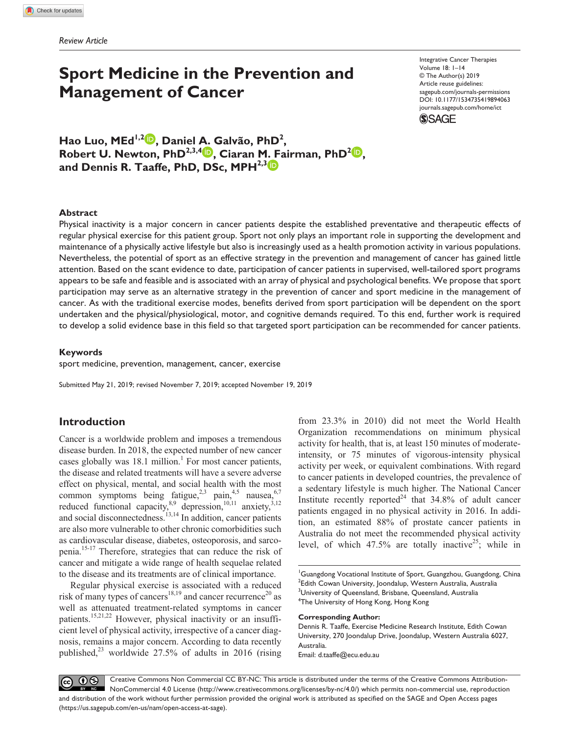# **Sport Medicine in the Prevention and Management of Cancer**

Integrative Cancer Therapies Volume 18: 1–14 © The Author(s) 2019 Article reuse guidelines: [sagepub.com/journals-permissions](https://us.sagepub.com/en-us/journals-permissions)  https://doi.org/10.1177/1534735419894063 DOI: 10.1177/1534735419894063 [journals.sagepub.com/home/ict](https://journals.sagepub.com/home/ict) **SAGE** 

**Hao Luo, MEd1,2 , Daniel A. Galvão, PhD2 , Robert U. Newton, PhD**<sup>2,3,4</sup> **(b)**, Ciaran M. Fairman, PhD<sup>2</sup> **(b)**, and Dennis R. Taaffe, PhD, DSc, MPH<sup>2,3</sup>

### **Abstract**

Physical inactivity is a major concern in cancer patients despite the established preventative and therapeutic effects of regular physical exercise for this patient group. Sport not only plays an important role in supporting the development and maintenance of a physically active lifestyle but also is increasingly used as a health promotion activity in various populations. Nevertheless, the potential of sport as an effective strategy in the prevention and management of cancer has gained little attention. Based on the scant evidence to date, participation of cancer patients in supervised, well-tailored sport programs appears to be safe and feasible and is associated with an array of physical and psychological benefits. We propose that sport participation may serve as an alternative strategy in the prevention of cancer and sport medicine in the management of cancer. As with the traditional exercise modes, benefits derived from sport participation will be dependent on the sport undertaken and the physical/physiological, motor, and cognitive demands required. To this end, further work is required to develop a solid evidence base in this field so that targeted sport participation can be recommended for cancer patients.

# **Keywords**

sport medicine, prevention, management, cancer, exercise

Submitted May 21, 2019; revised November 7, 2019; accepted November 19, 2019

# **Introduction**

Cancer is a worldwide problem and imposes a tremendous disease burden. In 2018, the expected number of new cancer cases globally was  $18.1$  million.<sup>1</sup> For most cancer patients, the disease and related treatments will have a severe adverse effect on physical, mental, and social health with the most common symptoms being fatigue,<sup>2,3</sup> pain,<sup>4,5</sup> nausea,<sup>6,7</sup> reduced functional capacity,<sup>8,9</sup> depression,<sup>10,11</sup> anxiety,<sup>3,12</sup> and social disconnectedness.<sup>13,14</sup> In addition, cancer patients are also more vulnerable to other chronic comorbidities such as cardiovascular disease, diabetes, osteoporosis, and sarcopenia.15-17 Therefore, strategies that can reduce the risk of cancer and mitigate a wide range of health sequelae related to the disease and its treatments are of clinical importance.

Regular physical exercise is associated with a reduced risk of many types of cancers<sup>18,19</sup> and cancer recurrence<sup>20</sup> as well as attenuated treatment-related symptoms in cancer patients.<sup>15,21,22</sup> However, physical inactivity or an insufficient level of physical activity, irrespective of a cancer diagnosis, remains a major concern. According to data recently published,<sup>23</sup> worldwide 27.5% of adults in 2016 (rising from 23.3% in 2010) did not meet the World Health Organization recommendations on minimum physical activity for health, that is, at least 150 minutes of moderateintensity, or 75 minutes of vigorous-intensity physical activity per week, or equivalent combinations. With regard to cancer patients in developed countries, the prevalence of a sedentary lifestyle is much higher. The National Cancer Institute recently reported<sup>24</sup> that  $34.8\%$  of adult cancer patients engaged in no physical activity in 2016. In addition, an estimated 88% of prostate cancer patients in Australia do not meet the recommended physical activity level, of which  $47.5\%$  are totally inactive<sup>25</sup>; while in

<sup>1</sup>Guangdong Vocational Institute of Sport, Guangzhou, Guangdong, China  $^2$ Edith Cowan University, Joondalup, Western Australia, Australia  $^3$ University of Queensland, Brisbane, Queensland, Australia 4 The University of Hong Kong, Hong Kong

#### **Corresponding Author:**

Dennis R. Taaffe, Exercise Medicine Research Institute, Edith Cowan University, 270 Joondalup Drive, Joondalup, Western Australia 6027, Australia. Email: [d.taaffe@ecu.edu.au](mailto:d.taaffe@ecu.edu.au)

<u>@ 00</u> Creative Commons Non Commercial CC BY-NC: This article is distributed under the terms of the Creative Commons Attribution-NonCommercial 4.0 License (http://www.creativecommons.org/licenses/by-nc/4.0/) which permits non-commercial use, reproduction and distribution of the work without further permission provided the original work is attributed as specified on the SAGE and Open Access pages (https://us.sagepub.com/en-us/nam/open-access-at-sage).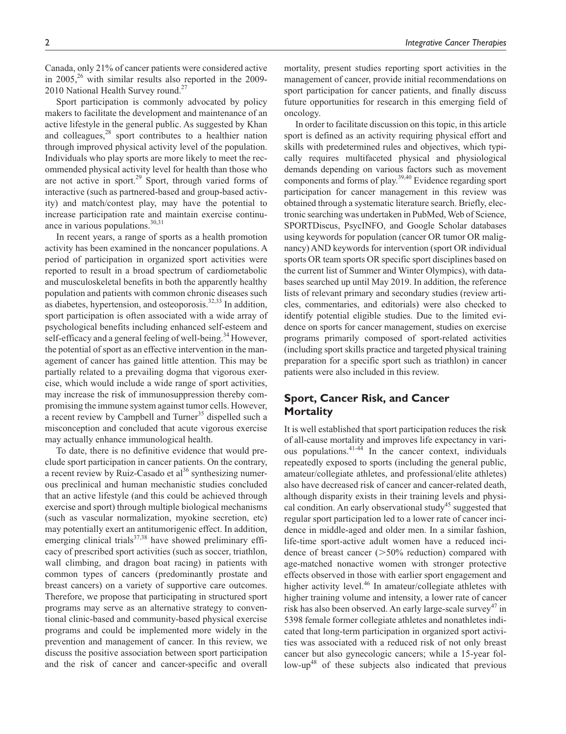Canada, only 21% of cancer patients were considered active in 2005,<sup>26</sup> with similar results also reported in the 2009-2010 National Health Survey round.<sup>27</sup>

Sport participation is commonly advocated by policy makers to facilitate the development and maintenance of an active lifestyle in the general public. As suggested by Khan and colleagues, $28$  sport contributes to a healthier nation through improved physical activity level of the population. Individuals who play sports are more likely to meet the recommended physical activity level for health than those who are not active in sport.<sup>29</sup> Sport, through varied forms of interactive (such as partnered-based and group-based activity) and match/contest play, may have the potential to increase participation rate and maintain exercise continuance in various populations.<sup>30,31</sup>

In recent years, a range of sports as a health promotion activity has been examined in the noncancer populations. A period of participation in organized sport activities were reported to result in a broad spectrum of cardiometabolic and musculoskeletal benefits in both the apparently healthy population and patients with common chronic diseases such as diabetes, hypertension, and osteoporosis.<sup>32,33</sup> In addition, sport participation is often associated with a wide array of psychological benefits including enhanced self-esteem and self-efficacy and a general feeling of well-being.<sup>34</sup> However, the potential of sport as an effective intervention in the management of cancer has gained little attention. This may be partially related to a prevailing dogma that vigorous exercise, which would include a wide range of sport activities, may increase the risk of immunosuppression thereby compromising the immune system against tumor cells. However, a recent review by Campbell and Turner<sup>35</sup> dispelled such a misconception and concluded that acute vigorous exercise may actually enhance immunological health.

To date, there is no definitive evidence that would preclude sport participation in cancer patients. On the contrary, a recent review by Ruiz-Casado et  $al^{36}$  synthesizing numerous preclinical and human mechanistic studies concluded that an active lifestyle (and this could be achieved through exercise and sport) through multiple biological mechanisms (such as vascular normalization, myokine secretion, etc) may potentially exert an antitumorigenic effect. In addition, emerging clinical trials $37,38$  have showed preliminary efficacy of prescribed sport activities (such as soccer, triathlon, wall climbing, and dragon boat racing) in patients with common types of cancers (predominantly prostate and breast cancers) on a variety of supportive care outcomes. Therefore, we propose that participating in structured sport programs may serve as an alternative strategy to conventional clinic-based and community-based physical exercise programs and could be implemented more widely in the prevention and management of cancer. In this review, we discuss the positive association between sport participation and the risk of cancer and cancer-specific and overall mortality, present studies reporting sport activities in the management of cancer, provide initial recommendations on sport participation for cancer patients, and finally discuss future opportunities for research in this emerging field of oncology.

In order to facilitate discussion on this topic, in this article sport is defined as an activity requiring physical effort and skills with predetermined rules and objectives, which typically requires multifaceted physical and physiological demands depending on various factors such as movement components and forms of play.39,40 Evidence regarding sport participation for cancer management in this review was obtained through a systematic literature search. Briefly, electronic searching was undertaken in PubMed, Web of Science, SPORTDiscus, PsycINFO, and Google Scholar databases using keywords for population (cancer OR tumor OR malignancy) AND keywords for intervention (sport OR individual sports OR team sports OR specific sport disciplines based on the current list of Summer and Winter Olympics), with databases searched up until May 2019. In addition, the reference lists of relevant primary and secondary studies (review articles, commentaries, and editorials) were also checked to identify potential eligible studies. Due to the limited evidence on sports for cancer management, studies on exercise programs primarily composed of sport-related activities (including sport skills practice and targeted physical training preparation for a specific sport such as triathlon) in cancer patients were also included in this review.

# **Sport, Cancer Risk, and Cancer Mortality**

It is well established that sport participation reduces the risk of all-cause mortality and improves life expectancy in various populations.<sup>41-44</sup> In the cancer context, individuals repeatedly exposed to sports (including the general public, amateur/collegiate athletes, and professional/elite athletes) also have decreased risk of cancer and cancer-related death, although disparity exists in their training levels and physical condition. An early observational study<sup>45</sup> suggested that regular sport participation led to a lower rate of cancer incidence in middle-aged and older men. In a similar fashion, life-time sport-active adult women have a reduced incidence of breast cancer  $(>=50\%$  reduction) compared with age-matched nonactive women with stronger protective effects observed in those with earlier sport engagement and higher activity level.<sup>46</sup> In amateur/collegiate athletes with higher training volume and intensity, a lower rate of cancer risk has also been observed. An early large-scale survey<sup>47</sup> in 5398 female former collegiate athletes and nonathletes indicated that long-term participation in organized sport activities was associated with a reduced risk of not only breast cancer but also gynecologic cancers; while a 15-year follow-up<sup>48</sup> of these subjects also indicated that previous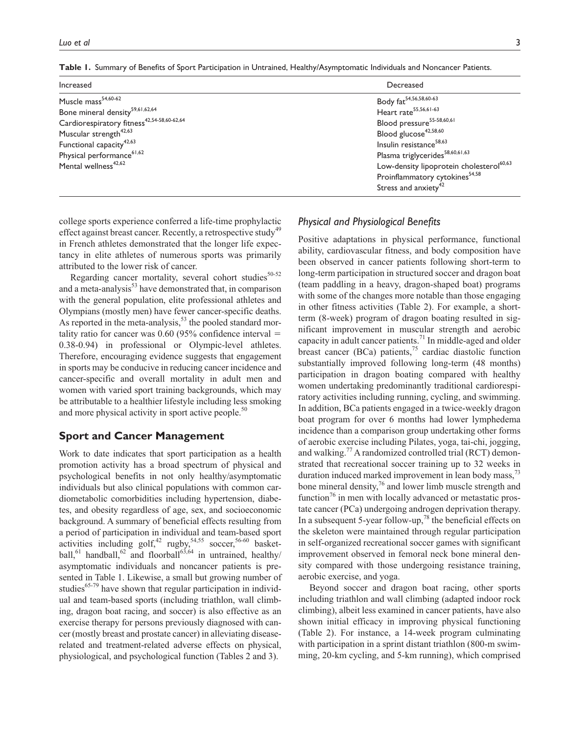| Increased                                              | Decreased                                            |
|--------------------------------------------------------|------------------------------------------------------|
| Muscle mass <sup>54,60-62</sup>                        | Body fat <sup>54,56,58,60-63</sup>                   |
| Bone mineral density <sup>59,61,62,64</sup>            | Heart rate <sup>55,56,61-63</sup>                    |
| Cardiorespiratory fitness <sup>42,54-58,60-62,64</sup> | Blood pressure <sup>55-58,60,61</sup>                |
| Muscular strength <sup>42,63</sup>                     | Blood glucose <sup>42,58,60</sup>                    |
| Functional capacity <sup>42,63</sup>                   | Insulin resistance <sup>58,63</sup>                  |
| Physical performance <sup>61,62</sup>                  | Plasma triglycerides <sup>58,60,61,63</sup>          |
| Mental wellness <sup>42,62</sup>                       | Low-density lipoprotein cholesterol <sup>60,63</sup> |
|                                                        | Proinflammatory cytokines <sup>54,58</sup>           |
|                                                        | Stress and anxiety <sup>42</sup>                     |

**Table 1.** Summary of Benefits of Sport Participation in Untrained, Healthy/Asymptomatic Individuals and Noncancer Patients.

college sports experience conferred a life-time prophylactic effect against breast cancer. Recently, a retrospective study<sup>49</sup> in French athletes demonstrated that the longer life expectancy in elite athletes of numerous sports was primarily attributed to the lower risk of cancer.

Regarding cancer mortality, several cohort studies<sup>50-52</sup> and a meta-analysis<sup>53</sup> have demonstrated that, in comparison with the general population, elite professional athletes and Olympians (mostly men) have fewer cancer-specific deaths. As reported in the meta-analysis, $5<sup>3</sup>$  the pooled standard mortality ratio for cancer was  $0.60$  (95% confidence interval  $=$ 0.38-0.94) in professional or Olympic-level athletes. Therefore, encouraging evidence suggests that engagement in sports may be conducive in reducing cancer incidence and cancer-specific and overall mortality in adult men and women with varied sport training backgrounds, which may be attributable to a healthier lifestyle including less smoking and more physical activity in sport active people.<sup>50</sup>

# **Sport and Cancer Management**

Work to date indicates that sport participation as a health promotion activity has a broad spectrum of physical and psychological benefits in not only healthy/asymptomatic individuals but also clinical populations with common cardiometabolic comorbidities including hypertension, diabetes, and obesity regardless of age, sex, and socioeconomic background. A summary of beneficial effects resulting from a period of participation in individual and team-based sport activities including  $\text{golf},^{42}$  rugby,<sup>54,55</sup> soccer,<sup>56-60</sup> basketball,<sup>61</sup> handball,<sup>62</sup> and floorball<sup>63,64</sup> in untrained, healthy/ asymptomatic individuals and noncancer patients is presented in Table 1. Likewise, a small but growing number of studies $^{65-79}$  have shown that regular participation in individual and team-based sports (including triathlon, wall climbing, dragon boat racing, and soccer) is also effective as an exercise therapy for persons previously diagnosed with cancer (mostly breast and prostate cancer) in alleviating diseaserelated and treatment-related adverse effects on physical, physiological, and psychological function (Tables 2 and 3).

# *Physical and Physiological Benefits*

Positive adaptations in physical performance, functional ability, cardiovascular fitness, and body composition have been observed in cancer patients following short-term to long-term participation in structured soccer and dragon boat (team paddling in a heavy, dragon-shaped boat) programs with some of the changes more notable than those engaging in other fitness activities (Table 2). For example, a shortterm (8-week) program of dragon boating resulted in significant improvement in muscular strength and aerobic capacity in adult cancer patients.<sup>71</sup> In middle-aged and older breast cancer (BCa) patients,<sup>75</sup> cardiac diastolic function substantially improved following long-term (48 months) participation in dragon boating compared with healthy women undertaking predominantly traditional cardiorespiratory activities including running, cycling, and swimming. In addition, BCa patients engaged in a twice-weekly dragon boat program for over 6 months had lower lymphedema incidence than a comparison group undertaking other forms of aerobic exercise including Pilates, yoga, tai-chi, jogging, and walking.<sup>77</sup> A randomized controlled trial (RCT) demonstrated that recreational soccer training up to 32 weeks in duration induced marked improvement in lean body mass,  $73$ bone mineral density, $\frac{7}{6}$  and lower limb muscle strength and function<sup>76</sup> in men with locally advanced or metastatic prostate cancer (PCa) undergoing androgen deprivation therapy. In a subsequent 5-year follow-up,<sup>78</sup> the beneficial effects on the skeleton were maintained through regular participation in self-organized recreational soccer games with significant improvement observed in femoral neck bone mineral density compared with those undergoing resistance training, aerobic exercise, and yoga.

Beyond soccer and dragon boat racing, other sports including triathlon and wall climbing (adapted indoor rock climbing), albeit less examined in cancer patients, have also shown initial efficacy in improving physical functioning (Table 2). For instance, a 14-week program culminating with participation in a sprint distant triathlon (800-m swimming, 20-km cycling, and 5-km running), which comprised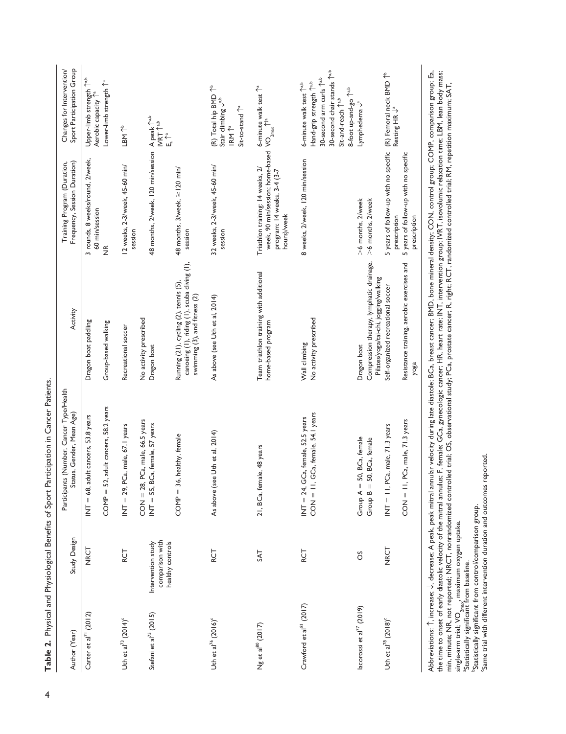| Author (Year)                               | Study Design                          | Participants (Number, Cancer Type/Health<br>Status, Gender, Mean Age)                                                                                                                              | Activity                                                                                                               | Frequency, Session Duration)<br>Training Program (Duration,                                                                                                          | Sport Participation Group<br>Changes for Intervention/                                                                                                                            |
|---------------------------------------------|---------------------------------------|----------------------------------------------------------------------------------------------------------------------------------------------------------------------------------------------------|------------------------------------------------------------------------------------------------------------------------|----------------------------------------------------------------------------------------------------------------------------------------------------------------------|-----------------------------------------------------------------------------------------------------------------------------------------------------------------------------------|
| Carter et al <sup>71</sup> (2012)           | <b>NRCT</b>                           | adult cancers, 53.8 years<br>$INT = 68,$                                                                                                                                                           | Dragon boat paddling                                                                                                   | 3 rounds, 8 weeks/round, 2/week,<br>60 min/session                                                                                                                   | Upper-limb strength Tab<br>Aerobic capacity <sup>1ª</sup>                                                                                                                         |
|                                             |                                       | $\text{COMP} = 52$ , adult cancers, 58.2 years                                                                                                                                                     | Group-based walking                                                                                                    | $\frac{\alpha}{2}$                                                                                                                                                   | Lower-limb strength 1 <sup>2</sup>                                                                                                                                                |
| Uth et al <sup>73</sup> (2014) <sup>c</sup> | RCT                                   | PCa, male, 67.1 years<br>$INT = 29,$                                                                                                                                                               | Recreational soccer                                                                                                    | 12 weeks, 2-3/week, 45-60 min/<br>session                                                                                                                            | LBM <sup>↑</sup>                                                                                                                                                                  |
| Stefani et al <sup>75</sup> (2015)          | comparison with<br>Intervention study | $CON = 28$ , $PCa$ , male, 66.5 years<br>INT = 55, BCa, female, 57 years                                                                                                                           | No activity prescribed<br>Dragon boat                                                                                  | 48 months, 2/week, 120 min/session A peak 1 <sup>a,b</sup>                                                                                                           | $\ensuremath{\mathsf{INT}}\xspace$<br><br>$\ensuremath{\uparrow}\xspace^{\ensuremath{\mathsf{a}},\ensuremath{\mathsf{b}}}\xspace$                                                 |
|                                             | healthy controls                      | COMP = 36, healthy, female                                                                                                                                                                         | canoeing (1), riding (1), scuba diving (1),<br>Running (21), cycling (2), tennis (5),<br>swimming (3), and fitness (2) | 48 months, 3/week, $\geq$   20 min/<br>session                                                                                                                       | $E_a^a$                                                                                                                                                                           |
| Uth et al <sup>76</sup> (2016) <sup>c</sup> | RCT                                   | As above (see Uth et al, 2014)                                                                                                                                                                     | As above (see Uth et al, 2014)                                                                                         | 32 weeks, 2-3/week, 45-60 min/<br>session                                                                                                                            | $(R)$ Total hip BMD $\uparrow$ <sup>b</sup><br>Stair climbing $\downarrow^{ab}$<br>Sit-to-stand T <sup>a</sup><br>$\mathsf{IRM}\xspace\uparrow^{\mathrm{a}}$                      |
| $Ng$ et al $^{80}$ (2017)                   | <b>TAS</b>                            | 21, BCa, female, 48 years                                                                                                                                                                          | Team triathlon training with additional<br>home-based program                                                          | week, 90 min/session; home-based $\sqrt{O}_{2\text{max}}$ $\uparrow$ <sup>ta</sup><br>Triathlon training: 14 weeks, 2/<br>program: 14 weeks, 3-4 (3-7<br>hours)/week | 6-minute walk test <sup>1<sup>a</sup></sup>                                                                                                                                       |
| Crawford et al <sup>81</sup> (2017)         | RCT                                   | , GCa, female, 54.1 years<br>GCa, female, 52.5 years<br>$INT = 24$ ,<br>$-1$<br>$-1$                                                                                                               | No activity prescribed<br>Wall climbing                                                                                | 8 weeks, 2/week, 120 min/session                                                                                                                                     | 30-second chair stands 1 <sup>a,b</sup><br>30-second arm curls <sup>1a,b</sup><br>Hand-grip strength 1 <sup>a,b</sup><br>6-minute walk test 1 <sup>a,b</sup><br>Sit-and-reach Tab |
| lacorossi et al $^{77}$ (2019)              | õ                                     | 50, BCa, female<br>50, BCa, female<br>Group $A =$<br>Group $B =$                                                                                                                                   | Compression therapy, lymphatic drainage,<br>Pilates/yoga/tai-chi, jogging/walking<br>Dragon boat                       | >6 months, 2/week<br>>6 months, 2/week                                                                                                                               | 8-foot up-and-go 1 <sup>a,b</sup><br>Lymphedema $\downarrow$ ª                                                                                                                    |
| Uth et al <sup>78</sup> (2018) <sup>c</sup> | <b>NRCT</b>                           | $INT = II$ , PCa, male, $71.3$ years                                                                                                                                                               | Self-organized recreational soccer                                                                                     | 5 years of follow-up with no specific (R) Femoral neck BMD <sup>16</sup><br>prescription                                                                             | Resting HR $\downarrow$ <sup>a</sup>                                                                                                                                              |
|                                             |                                       | I, PCa, male, 71.3 years<br>$=$ NO                                                                                                                                                                 | Resistance training, aerobic exercises and<br>yoga                                                                     | 5 years of follow-up with no specific<br>prescription                                                                                                                |                                                                                                                                                                                   |
|                                             |                                       | Abbreviations: ↑, increase; ↓, decrease; A peak, peak mitral annular velocity during late diastole; BCa, breast cancer; BMD, bone mineral density; CON, control group; COMP, comparison group; Ea, |                                                                                                                        |                                                                                                                                                                      |                                                                                                                                                                                   |

Abbreviations: ↑, increase; ↓, decrease; A peak, peak mitral annular velocity during late diastole: BCa, breast cancer; BMD, bone mineral density; CON, comrol group; CoMP, comparison group; Ea,<br>the time to onset of early d Abbreviations: ↑, increase; ↓, decrease; A peak, peak mitral annular velocity during late diastole; BCa, breast cancer; BMD, bone mineral density; CON, control group; COMP, comparison group; Ea, the time to onset of early diastolic velocity of the mitral annulus; F, female; GCa, gynecologic cancer; HR, heart rate; INT, intervention group; IVRT, isovolumic relaxation time; LBM, lean body mass; min, minute; NR, not reported; NRCT, nonrandomized controlled trial; OS, observational study; PCa, prostate cancer; R, right; RCT, randomized controlled trial; RM, repetition maximum; SAT, single-arm trial; VO<sub>2max</sub>, maximum oxygen uptake.<br><sup>S</sup>tatistically significant from baseline.

**bStatistically significant from control/comparison group.** 

Same trial with different intervention duration and outcomes reported.

Table 2. Physical and Physiological Benefits of Sport Participation in Cancer Patients.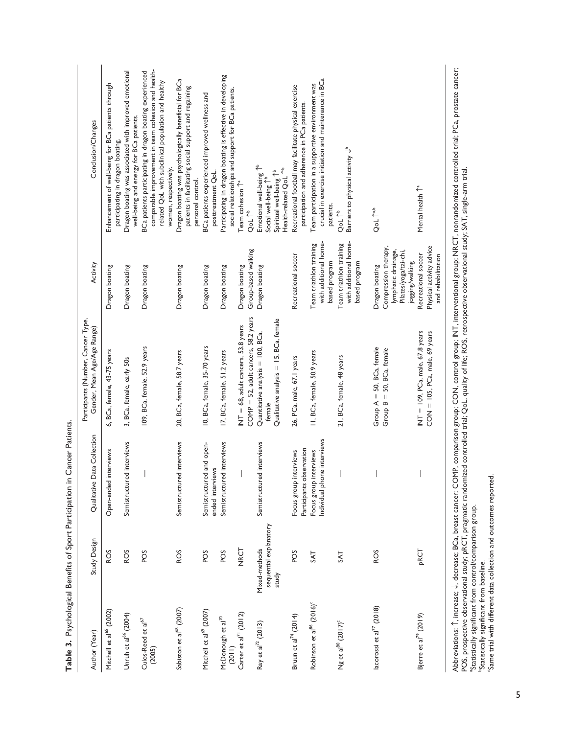| l<br>i<br>)<br>3<br>Ò |
|-----------------------|
| i                     |
| $\vdots$<br>ı         |
| Ŝ<br>١                |
|                       |
| Í                     |
|                       |
| i<br>١                |
|                       |
| j                     |
|                       |
|                       |

| Conclusion/Changes                                                | Enhancement of well-being for BCa patients through<br>participating in dragon boating. | Dragon boating was associated with improved emotional<br>well-being and energy for BCa patients. | comparable improvement in team cohesion and health-<br>BCa patients participating in dragon boating experienced<br>related QoL with subclinical population and healthy<br>women, respectively. | Dragon boating was psychologically beneficial for BCa<br>patients in facilitating social support and regaining<br>personal control. | BCa patients experienced improved wellness and<br>posttreatment QoL. | Participating in dragon boating is effective in developing<br>social relationships and support for BCa patients. | Team cohesion <sup>1</sup><br>QoL <sup>16</sup>                                | Emotional well-being <sup>1b</sup> | Health-related QoL 1 <sup>b</sup><br>Spiritual well-being <sup>1b</sup><br>Social well-being <sup>1b</sup> | Recreational football may facilitate physical exercise<br>participation and adherence in PCa patients. | crucial in exercise initiation and maintenance in BCa<br>Team participation in a supportive environment was<br>patients. | Barriers to physical activity $\downarrow^b$<br>QoL 1 <sup>b</sup> | QoL 1 <sup>a,b</sup>                                                                                      | Abbreviations: ^ increase interest and the compart COMP comparison grouns: CONP control are interventional around NRCT pomparlamed round connect PC a prostate cancer<br>Mental health <sup>1</sup> |
|-------------------------------------------------------------------|----------------------------------------------------------------------------------------|--------------------------------------------------------------------------------------------------|------------------------------------------------------------------------------------------------------------------------------------------------------------------------------------------------|-------------------------------------------------------------------------------------------------------------------------------------|----------------------------------------------------------------------|------------------------------------------------------------------------------------------------------------------|--------------------------------------------------------------------------------|------------------------------------|------------------------------------------------------------------------------------------------------------|--------------------------------------------------------------------------------------------------------|--------------------------------------------------------------------------------------------------------------------------|--------------------------------------------------------------------|-----------------------------------------------------------------------------------------------------------|-----------------------------------------------------------------------------------------------------------------------------------------------------------------------------------------------------|
| Activity                                                          | Dragon boating                                                                         | Dragon boating                                                                                   | Dragon boating                                                                                                                                                                                 | Dragon boating                                                                                                                      | Dragon boating                                                       | Dragon boating                                                                                                   | Group-based walking<br>Dragon boating                                          | Dragon boating                     |                                                                                                            | Recreational soccer                                                                                    | with additional home-<br>Team triathlon training<br>based program                                                        | with additional home-<br>Team triathlon training<br>based program  | Compression therapy,<br>lymphatic drainage,<br>Pilates/yoga/tai-chi,<br>jogging/walking<br>Dragon boating | Physical activity advice<br>Recreational soccer<br>and rehabilitation                                                                                                                               |
| Participants (Number, Cancer Type,<br>Gender, Mean Age/Age Range) | BCa, female, 43-75 years<br>Ġ                                                          | 3, BCa, female, early 50s                                                                        | 109, BCa, female, 52.9 years                                                                                                                                                                   | 20, BCa, female, 58.7 years                                                                                                         | 10, BCa, female, 35-70 years                                         | 17, BCa, female, 51.2 years                                                                                      | COMP = 52, adult cancers, 58.2 years<br>INT = $68$ , adult cancers, 53.8 years | Quantitative analysis = 100, BCa,  | Qualitative analysis = 15, BCa, female<br>female                                                           | 26, PCa, male, 67.1 years                                                                              | II, BCa, female, 50.9 years                                                                                              | 21, BCa, female, 48 years                                          | Group $A = 50$ , BCa, female<br>50, BCa, female<br>Group $B =$                                            | INT = $109$ , PCa, male, $67.8$ years<br>$CON = 105$ , PCa, male, 69 years                                                                                                                          |
| Qualitative Data Collection                                       | Open-ended interviews                                                                  | Semistructured interviews                                                                        |                                                                                                                                                                                                | Semistructured interviews                                                                                                           | Semistructured and open-<br>ended interviews                         | Semistructured interviews                                                                                        |                                                                                | Semistructured interviews          |                                                                                                            | Participants observation<br>Focus group interviews                                                     | Individual phone interviews<br>Focus group interviews                                                                    |                                                                    |                                                                                                           |                                                                                                                                                                                                     |
| Study Design                                                      | ROS                                                                                    | ROS                                                                                              | SOd                                                                                                                                                                                            | ROS                                                                                                                                 | SOd                                                                  | POS                                                                                                              | NRCT                                                                           | Mixed-methods                      | sequential explanatory<br>study                                                                            | SOd                                                                                                    | <b>TAS</b>                                                                                                               | <b>TAS</b>                                                         | ROS                                                                                                       | PRCT                                                                                                                                                                                                |
| Author (Year)                                                     | Mitchell et al <sup>65</sup> (2002)                                                    | Unruh et al <sup>66</sup> (2004)                                                                 | Culos-Reed et al <sup>67</sup><br>(2005)                                                                                                                                                       | Sabiston et al <sup>68</sup> (2007)                                                                                                 | Mitchell et al <sup>69</sup> (2007)                                  | McDonough et al <sup>70</sup><br>(2011)                                                                          | Carter et al <sup>71</sup> (2012)                                              | Ray et al <sup>72</sup> (2013)     |                                                                                                            | Bruun et al <sup>74</sup> (2014)                                                                       | Robinson et al <sup>86</sup> (2016) <sup>c</sup>                                                                         | $Ng$ et al $^{80}$ (2017) <sup>c</sup>                             | lacorossi et al $^{77}$ (2018)                                                                            | Bjerre et al <sup>79</sup> (2019)                                                                                                                                                                   |

triai; PCa, prostate cancer; Abbreviations: ↑, increase; ↓, decrease; BCa, breast cancer; COMP, comparison group; CON, control group; INT, interventional group; NRCT, nonrandomized controlled trial; PCa, prostate cancer; <u> 공</u> Abbreviations: ↑, increase; ↓, decrease; BCa, breast cancer; COMP, comparison group; CON, control group; INT, interventional group; NRCT, nonrandomized contro<br>POS, prospective observational study; PRCT, pragmatic randomize POS, prospective observational study; pRCT, pragmatic randomized controlled trial; QoL, quality of life; ROS, retrospective observational study; SAT, single-arm trial. aStatistically significant from control/comparison group.

bStatistically significant from baseline.

cSame trial with different data collection and outcomes reported.

5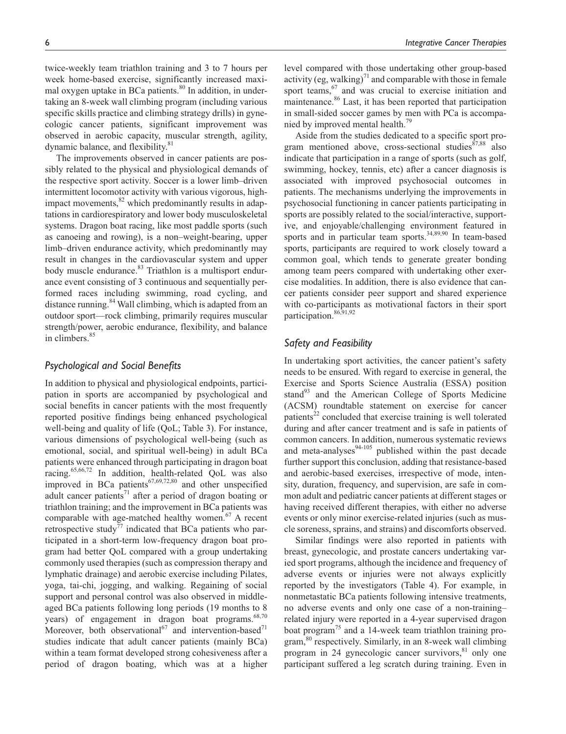twice-weekly team triathlon training and 3 to 7 hours per week home-based exercise, significantly increased maximal oxygen uptake in BCa patients. $80$  In addition, in undertaking an 8-week wall climbing program (including various specific skills practice and climbing strategy drills) in gynecologic cancer patients, significant improvement was observed in aerobic capacity, muscular strength, agility, dynamic balance, and flexibility.<sup>81</sup>

The improvements observed in cancer patients are possibly related to the physical and physiological demands of the respective sport activity. Soccer is a lower limb–driven intermittent locomotor activity with various vigorous, highimpact movements, $82$  which predominantly results in adaptations in cardiorespiratory and lower body musculoskeletal systems. Dragon boat racing, like most paddle sports (such as canoeing and rowing), is a non–weight-bearing, upper limb–driven endurance activity, which predominantly may result in changes in the cardiovascular system and upper body muscle endurance.<sup>83</sup> Triathlon is a multisport endurance event consisting of 3 continuous and sequentially performed races including swimming, road cycling, and distance running.<sup>84</sup> Wall climbing, which is adapted from an outdoor sport—rock climbing, primarily requires muscular strength/power, aerobic endurance, flexibility, and balance in climbers.<sup>85</sup>

# *Psychological and Social Benefits*

In addition to physical and physiological endpoints, participation in sports are accompanied by psychological and social benefits in cancer patients with the most frequently reported positive findings being enhanced psychological well-being and quality of life (QoL; Table 3). For instance, various dimensions of psychological well-being (such as emotional, social, and spiritual well-being) in adult BCa patients were enhanced through participating in dragon boat racing.65,66,72 In addition, health-related QoL was also improved in BCa patients $67,69,72,80$  and other unspecified adult cancer patients<sup>71</sup> after a period of dragon boating or triathlon training; and the improvement in BCa patients was comparable with age-matched healthy women. $67$  A recent retrospective study<sup>77</sup> indicated that BCa patients who participated in a short-term low-frequency dragon boat program had better QoL compared with a group undertaking commonly used therapies (such as compression therapy and lymphatic drainage) and aerobic exercise including Pilates, yoga, tai-chi, jogging, and walking. Regaining of social support and personal control was also observed in middleaged BCa patients following long periods (19 months to 8 years) of engagement in dragon boat programs.<sup>68,70</sup> Moreover, both observational<sup>67</sup> and intervention-based<sup>71</sup> studies indicate that adult cancer patients (mainly BCa) within a team format developed strong cohesiveness after a period of dragon boating, which was at a higher

level compared with those undertaking other group-based activity (eg, walking) $^{71}$  and comparable with those in female sport teams,  $67$  and was crucial to exercise initiation and maintenance.86 Last, it has been reported that participation in small-sided soccer games by men with PCa is accompanied by improved mental health.<sup>79</sup>

Aside from the studies dedicated to a specific sport program mentioned above, cross-sectional studies $87,88$  also indicate that participation in a range of sports (such as golf, swimming, hockey, tennis, etc) after a cancer diagnosis is associated with improved psychosocial outcomes in patients. The mechanisms underlying the improvements in psychosocial functioning in cancer patients participating in sports are possibly related to the social/interactive, supportive, and enjoyable/challenging environment featured in sports and in particular team sports. $34,89,90$  In team-based sports, participants are required to work closely toward a common goal, which tends to generate greater bonding among team peers compared with undertaking other exercise modalities. In addition, there is also evidence that cancer patients consider peer support and shared experience with co-participants as motivational factors in their sport participation.<sup>86,91,92</sup>

# *Safety and Feasibility*

In undertaking sport activities, the cancer patient's safety needs to be ensured. With regard to exercise in general, the Exercise and Sports Science Australia (ESSA) position stand<sup>93</sup> and the American College of Sports Medicine (ACSM) roundtable statement on exercise for cancer patients<sup>22</sup> concluded that exercise training is well tolerated during and after cancer treatment and is safe in patients of common cancers. In addition, numerous systematic reviews and meta-analyses $94-105$  published within the past decade further support this conclusion, adding that resistance-based and aerobic-based exercises, irrespective of mode, intensity, duration, frequency, and supervision, are safe in common adult and pediatric cancer patients at different stages or having received different therapies, with either no adverse events or only minor exercise-related injuries (such as muscle soreness, sprains, and strains) and discomforts observed.

Similar findings were also reported in patients with breast, gynecologic, and prostate cancers undertaking varied sport programs, although the incidence and frequency of adverse events or injuries were not always explicitly reported by the investigators (Table 4). For example, in nonmetastatic BCa patients following intensive treatments, no adverse events and only one case of a non-training– related injury were reported in a 4-year supervised dragon boat program<sup>75</sup> and a 14-week team triathlon training program,<sup>80</sup> respectively. Similarly, in an 8-week wall climbing program in 24 gynecologic cancer survivors, $81$  only one participant suffered a leg scratch during training. Even in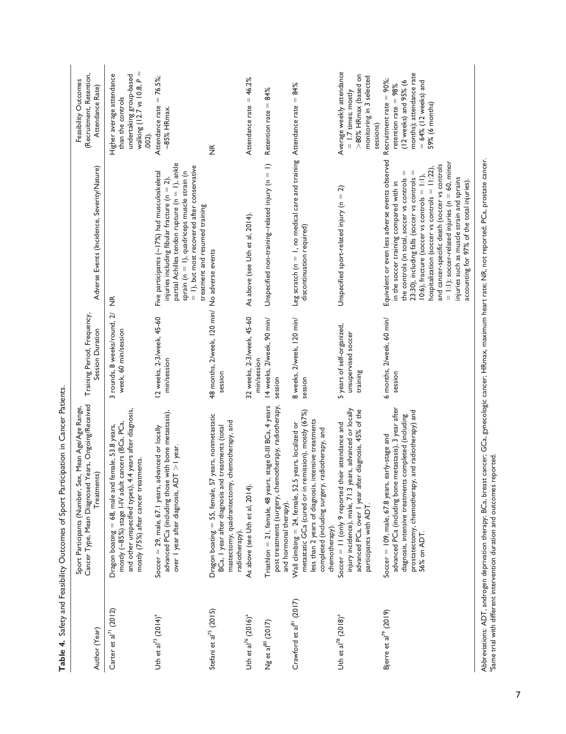|                                      | Table 4. Safety and Feasibility Outcomes of Sport Participation in Cancer Patients                                                                                                                                                                |                                                                               |                                                                                                                                                                                                                                                                                                                                                                                                                                                                                                                |                                                                                                                                                      |
|--------------------------------------|---------------------------------------------------------------------------------------------------------------------------------------------------------------------------------------------------------------------------------------------------|-------------------------------------------------------------------------------|----------------------------------------------------------------------------------------------------------------------------------------------------------------------------------------------------------------------------------------------------------------------------------------------------------------------------------------------------------------------------------------------------------------------------------------------------------------------------------------------------------------|------------------------------------------------------------------------------------------------------------------------------------------------------|
| Author (Year)                        | Cancer Type, Mean Diagnosed Years, Ongoing/Received<br>Sport Participants (Number, Sex, Mean Age/Age Range,<br>Treatments)                                                                                                                        | Training Period, Frequency,<br>Session Duration                               | Adverse Events (Incidence, Severity/Nature)                                                                                                                                                                                                                                                                                                                                                                                                                                                                    | (Recruitment, Retention,<br>Feasibility Outcomes<br>Attendance Rate)                                                                                 |
| Carter et al <sup>71</sup> (2012)    | and other unspecified types), 4.4 years after diagnosis<br>mostly (~85%) stage I-IV adult cancers (BCa, PCa,<br>Dragon boating = 68, male and female, 53.8 years,<br>mostly (75%) after cancer treatments.                                        | $\widetilde{\mathcal{L}}$<br>3 rounds, 8 weeks/round,<br>week, 60 min/session | $\widetilde{\Xi}$                                                                                                                                                                                                                                                                                                                                                                                                                                                                                              | $\mathbf{I}$<br>Higher average attendance<br>undertaking group-based<br>walking (12.7 vs 10.8, P<br>than the controls<br>$.002$ .                    |
| Uth et al <sup>73</sup> $(2014)^a$   | advanced PCa (including those with bone metastasis),<br>Soccer = 29, male, 67.1 years, advanced or locally<br>over 1 year after diagnosis, ADT >1 year.                                                                                           | 12 weeks, 2-3/week, 45-60<br>min/session                                      | partial Achilles tendon rupture (n = 1), ankle<br>$=$ 1), but most recovered after conservative<br>sprain (n = 1), quadriceps muscle strain (n<br>Five participants (~17%) had musculoskeletal<br>injuries including fibular fracture (n = 2),<br>treatment and resumed training                                                                                                                                                                                                                               | Attendance rate $= 76.5\%$ ;<br>$-85%$ HRmax.                                                                                                        |
| Stefani et al <sup>75</sup> (2015)   | Dragon boating = 55, female, 57 years, nonmetastatic<br>chemotherapy, and<br>BCa, I year after diagnosis and treatments (total<br>mastectomy, quadrantectomy,<br>radiotherapy).                                                                   | 48 months, 2/week, 120 min/ No adverse events<br>session                      |                                                                                                                                                                                                                                                                                                                                                                                                                                                                                                                | $\widetilde{\Xi}$                                                                                                                                    |
| Uth et al <sup>76</sup> $(2016)^a$   | As above (see Uth et al, 2014).                                                                                                                                                                                                                   | 32 weeks, 2-3/week, 45-60<br>min/session                                      | As above (see Uth et al, 2014).                                                                                                                                                                                                                                                                                                                                                                                                                                                                                | Attendance rate = 46.2%                                                                                                                              |
| $Ng$ et al $^{80}$ (2017)            | Triathlon = 21, female, 48 years, stage 0-III BCa, 4 years<br>post treatments (surgery, chemotherapy, radiotherapy,<br>and hormonal therapy).                                                                                                     | 14 weeks, 2/week, 90 min/<br>session                                          | Unspecified non-training-related injury $(n = 1)$                                                                                                                                                                                                                                                                                                                                                                                                                                                              | 84%<br>Retention rate =                                                                                                                              |
| Crawford et al <sup>81</sup> (2017)  | metastatic GCa (cured or in remission), mostly (67%)<br>less than 2 years of diagnosis, intensive treatments<br>Wall climbing = 24, female, 52.5 years, localized or<br>radiotherapy, and<br>completed (including surgery,<br>chemotherapy).      | 8 weeks, 2/week, 120 min/<br>session                                          | Leg scratch ( $n = 1$ , no medical care and training Attendance rate = $84\%$<br>discontinuation required)                                                                                                                                                                                                                                                                                                                                                                                                     |                                                                                                                                                      |
| Uth et al <sup>78</sup> $(2018)^{a}$ | injury incidence), male, 71.3 years, advanced or locally<br>advanced PCa, over I year after diagnosis, 45% of the<br>Soccer = 11 (only 9 reported their attendance and<br>participants with ADT.                                                  | 5 years of self-organized,<br>unsupervised soccer<br>training                 | Unspecified sport-related injury ( $n = 2$ )                                                                                                                                                                                                                                                                                                                                                                                                                                                                   | Average weekly attendance<br>>80% HRmax (based on<br>monitoring in 3 selected<br>$= 1.7$ times; mostly<br>sessions)                                  |
| Bjerre et al <sup>79</sup> (2019)    | metastasis), 3 year after<br>prostatectomy, chemotherapy, and radiotherapy) and<br>diagnosis, intensive treatments completed (including<br>early-stage and<br>Soccer = $109$ , male, $67.8$ years,<br>advanced PCa (including bone<br>56% on ADT. | 6 months, 2/week, 60 min/<br>session                                          | Equivalent or even less adverse events observed<br>$=$ 1:1); soccer-related injuries (n = 60, minor<br>and cancer-specific death (soccer vs controls<br>hospitalization (soccer vs controls = 11:22),<br>23:30), including falls (soccer vs controls =<br>$\parallel$<br>$10:6$ ), fracture (soccer vs controls = $1:1$ ),<br>the controls (in total, soccer vs controls<br>injuries such as muscle strain and sprains<br>in the soccer training compared with in<br>accounting for 97% of the total injuries) | months); attendance rate<br>Recruitment rate = 90%;<br>(12 weeks) and 95% (6<br>$= 64\%$ (12 weeks) and<br>retention rate $= 98\%$<br>59% (6 months) |

Abbreviations: ADT, androgen deprivation therapy; BCa, breast cancer; GCa, gynecologic cancer; HRmax, maximum heart rate; NR, not reported; PCa, prostate cancer.<br>"Same trial with different intervention duration and outcome Abbreviations: ADT, androgen deprivation therapy; BCa, breast cancer; GCa, gynecologic cancer; HRmax, maximum heart rate; NR, not reported; PCa, prostate cancer. aSame trial with different intervention duration and outcomes reported.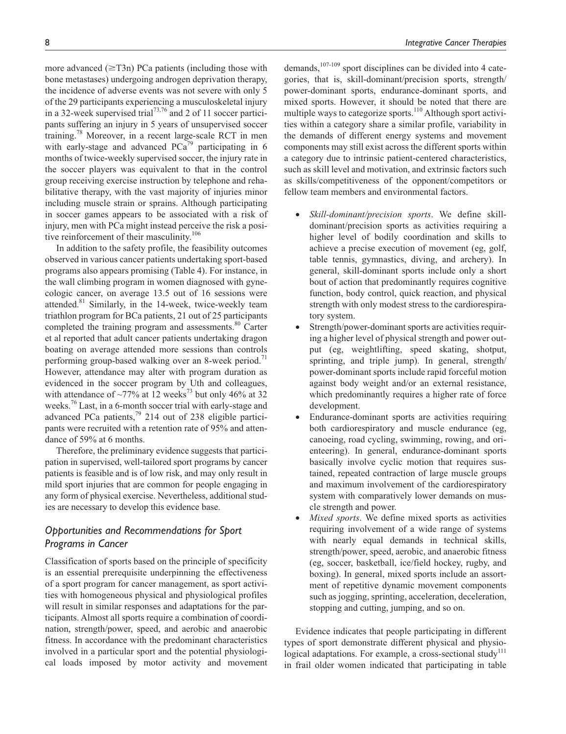more advanced  $(\geq T3n)$  PCa patients (including those with bone metastases) undergoing androgen deprivation therapy, the incidence of adverse events was not severe with only 5 of the 29 participants experiencing a musculoskeletal injury in a 32-week supervised trial<sup>73,76</sup> and 2 of 11 soccer participants suffering an injury in 5 years of unsupervised soccer training.<sup>78</sup> Moreover, in a recent large-scale RCT in men with early-stage and advanced  $PCa^{79}$  participating in 6 months of twice-weekly supervised soccer, the injury rate in the soccer players was equivalent to that in the control group receiving exercise instruction by telephone and rehabilitative therapy, with the vast majority of injuries minor including muscle strain or sprains. Although participating in soccer games appears to be associated with a risk of injury, men with PCa might instead perceive the risk a positive reinforcement of their masculinity.<sup>106</sup>

In addition to the safety profile, the feasibility outcomes observed in various cancer patients undertaking sport-based programs also appears promising (Table 4). For instance, in the wall climbing program in women diagnosed with gynecologic cancer, on average 13.5 out of 16 sessions were attended. $81$  Similarly, in the 14-week, twice-weekly team triathlon program for BCa patients, 21 out of 25 participants completed the training program and assessments.<sup>80</sup> Carter et al reported that adult cancer patients undertaking dragon boating on average attended more sessions than controls performing group-based walking over an 8-week period.<sup>71</sup> However, attendance may alter with program duration as evidenced in the soccer program by Uth and colleagues, with attendance of  $\sim$ 77% at 12 weeks<sup>73</sup> but only 46% at 32 weeks.<sup>76</sup> Last, in a 6-month soccer trial with early-stage and advanced PCa patients,<sup>79</sup> 214 out of 238 eligible participants were recruited with a retention rate of 95% and attendance of 59% at 6 months.

Therefore, the preliminary evidence suggests that participation in supervised, well-tailored sport programs by cancer patients is feasible and is of low risk, and may only result in mild sport injuries that are common for people engaging in any form of physical exercise. Nevertheless, additional studies are necessary to develop this evidence base.

# *Opportunities and Recommendations for Sport Programs in Cancer*

Classification of sports based on the principle of specificity is an essential prerequisite underpinning the effectiveness of a sport program for cancer management, as sport activities with homogeneous physical and physiological profiles will result in similar responses and adaptations for the participants. Almost all sports require a combination of coordination, strength/power, speed, and aerobic and anaerobic fitness. In accordance with the predominant characteristics involved in a particular sport and the potential physiological loads imposed by motor activity and movement demands,<sup>107-109</sup> sport disciplines can be divided into 4 categories, that is, skill-dominant/precision sports, strength/ power-dominant sports, endurance-dominant sports, and mixed sports. However, it should be noted that there are multiple ways to categorize sports.<sup>110</sup> Although sport activities within a category share a similar profile, variability in the demands of different energy systems and movement components may still exist across the different sports within a category due to intrinsic patient-centered characteristics, such as skill level and motivation, and extrinsic factors such as skills/competitiveness of the opponent/competitors or fellow team members and environmental factors.

- *Skill-dominant/precision sports*. We define skilldominant/precision sports as activities requiring a higher level of bodily coordination and skills to achieve a precise execution of movement (eg, golf, table tennis, gymnastics, diving, and archery). In general, skill-dominant sports include only a short bout of action that predominantly requires cognitive function, body control, quick reaction, and physical strength with only modest stress to the cardiorespiratory system.
- Strength/power-dominant sports are activities requiring a higher level of physical strength and power output (eg, weightlifting, speed skating, shotput, sprinting, and triple jump). In general, strength/ power-dominant sports include rapid forceful motion against body weight and/or an external resistance, which predominantly requires a higher rate of force development.
- Endurance-dominant sports are activities requiring both cardiorespiratory and muscle endurance (eg, canoeing, road cycling, swimming, rowing, and orienteering). In general, endurance-dominant sports basically involve cyclic motion that requires sustained, repeated contraction of large muscle groups and maximum involvement of the cardiorespiratory system with comparatively lower demands on muscle strength and power.
- *Mixed sports*. We define mixed sports as activities requiring involvement of a wide range of systems with nearly equal demands in technical skills, strength/power, speed, aerobic, and anaerobic fitness (eg, soccer, basketball, ice/field hockey, rugby, and boxing). In general, mixed sports include an assortment of repetitive dynamic movement components such as jogging, sprinting, acceleration, deceleration, stopping and cutting, jumping, and so on.

Evidence indicates that people participating in different types of sport demonstrate different physical and physiological adaptations. For example, a cross-sectional study<sup>111</sup> in frail older women indicated that participating in table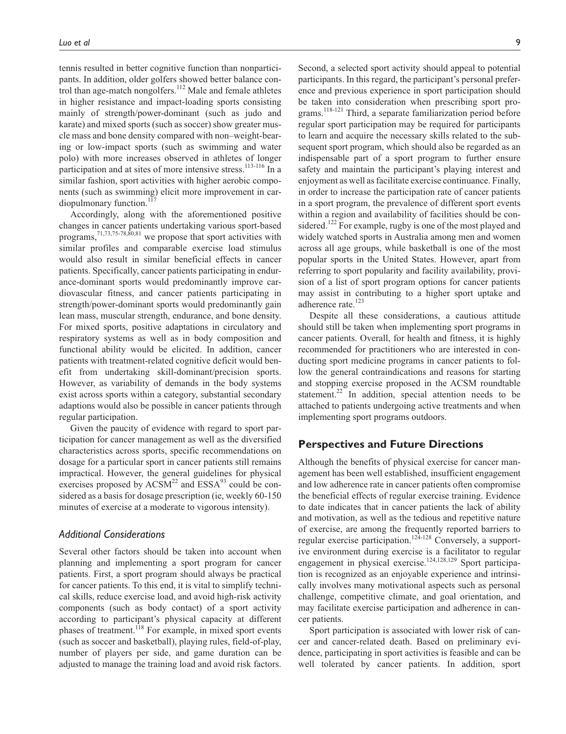tennis resulted in better cognitive function than nonparticipants. In addition, older golfers showed better balance control than age-match nongolfers.<sup>112</sup> Male and female athletes in higher resistance and impact-loading sports consisting mainly of strength/power-dominant (such as judo and karate) and mixed sports (such as soccer) show greater muscle mass and bone density compared with non–weight-bearing or low-impact sports (such as swimming and water polo) with more increases observed in athletes of longer participation and at sites of more intensive stress.<sup>113-116</sup> In a similar fashion, sport activities with higher aerobic components (such as swimming) elicit more improvement in cardiopulmonary function. $117$ 

Accordingly, along with the aforementioned positive changes in cancer patients undertaking various sport-based programs,  $71,73,75-78,80,81$  we propose that sport activities with similar profiles and comparable exercise load stimulus would also result in similar beneficial effects in cancer patients. Specifically, cancer patients participating in endurance-dominant sports would predominantly improve cardiovascular fitness, and cancer patients participating in strength/power-dominant sports would predominantly gain lean mass, muscular strength, endurance, and bone density. For mixed sports, positive adaptations in circulatory and respiratory systems as well as in body composition and functional ability would be elicited. In addition, cancer patients with treatment-related cognitive deficit would benefit from undertaking skill-dominant/precision sports. However, as variability of demands in the body systems exist across sports within a category, substantial secondary adaptions would also be possible in cancer patients through regular participation.

Given the paucity of evidence with regard to sport participation for cancer management as well as the diversified characteristics across sports, specific recommendations on dosage for a particular sport in cancer patients still remains impractical. However, the general guidelines for physical exercises proposed by  $ACSM^{22}$  and  $ESSA^{93}$  could be considered as a basis for dosage prescription (ie, weekly 60-150 minutes of exercise at a moderate to vigorous intensity).

# *Additional Considerations*

Several other factors should be taken into account when planning and implementing a sport program for cancer patients. First, a sport program should always be practical for cancer patients. To this end, it is vital to simplify technical skills, reduce exercise load, and avoid high-risk activity components (such as body contact) of a sport activity according to participant's physical capacity at different phases of treatment.<sup>118</sup> For example, in mixed sport events (such as soccer and basketball), playing rules, field-of-play, number of players per side, and game duration can be adjusted to manage the training load and avoid risk factors.

Second, a selected sport activity should appeal to potential participants. In this regard, the participant's personal preference and previous experience in sport participation should be taken into consideration when prescribing sport programs.<sup>118-121</sup> Third, a separate familiarization period before regular sport participation may be required for participants to learn and acquire the necessary skills related to the subsequent sport program, which should also be regarded as an indispensable part of a sport program to further ensure safety and maintain the participant's playing interest and enjoyment as well as facilitate exercise continuance. Finally, in order to increase the participation rate of cancer patients in a sport program, the prevalence of different sport events within a region and availability of facilities should be considered.<sup>122</sup> For example, rugby is one of the most played and widely watched sports in Australia among men and women across all age groups, while basketball is one of the most popular sports in the United States. However, apart from referring to sport popularity and facility availability, provision of a list of sport program options for cancer patients may assist in contributing to a higher sport uptake and adherence rate.<sup>123</sup>

Despite all these considerations, a cautious attitude should still be taken when implementing sport programs in cancer patients. Overall, for health and fitness, it is highly recommended for practitioners who are interested in conducting sport medicine programs in cancer patients to follow the general contraindications and reasons for starting and stopping exercise proposed in the ACSM roundtable statement.<sup>22</sup> In addition, special attention needs to be attached to patients undergoing active treatments and when implementing sport programs outdoors.

# **Perspectives and Future Directions**

Although the benefits of physical exercise for cancer management has been well established, insufficient engagement and low adherence rate in cancer patients often compromise the beneficial effects of regular exercise training. Evidence to date indicates that in cancer patients the lack of ability and motivation, as well as the tedious and repetitive nature of exercise, are among the frequently reported barriers to regular exercise participation.<sup>124-128</sup> Conversely, a supportive environment during exercise is a facilitator to regular engagement in physical exercise.<sup>124,128,129</sup> Sport participation is recognized as an enjoyable experience and intrinsically involves many motivational aspects such as personal challenge, competitive climate, and goal orientation, and may facilitate exercise participation and adherence in cancer patients.

Sport participation is associated with lower risk of cancer and cancer-related death. Based on preliminary evidence, participating in sport activities is feasible and can be well tolerated by cancer patients. In addition, sport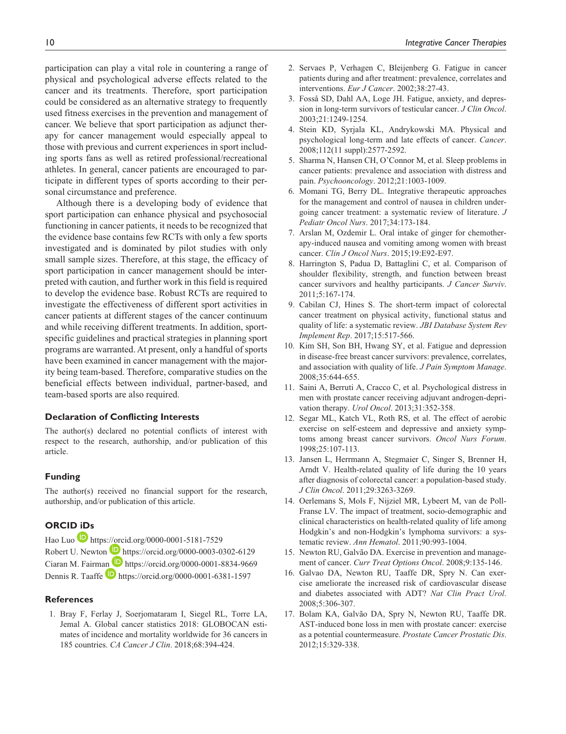participation can play a vital role in countering a range of physical and psychological adverse effects related to the cancer and its treatments. Therefore, sport participation could be considered as an alternative strategy to frequently used fitness exercises in the prevention and management of cancer. We believe that sport participation as adjunct therapy for cancer management would especially appeal to those with previous and current experiences in sport including sports fans as well as retired professional/recreational athletes. In general, cancer patients are encouraged to participate in different types of sports according to their personal circumstance and preference.

Although there is a developing body of evidence that sport participation can enhance physical and psychosocial functioning in cancer patients, it needs to be recognized that the evidence base contains few RCTs with only a few sports investigated and is dominated by pilot studies with only small sample sizes. Therefore, at this stage, the efficacy of sport participation in cancer management should be interpreted with caution, and further work in this field is required to develop the evidence base. Robust RCTs are required to investigate the effectiveness of different sport activities in cancer patients at different stages of the cancer continuum and while receiving different treatments. In addition, sportspecific guidelines and practical strategies in planning sport programs are warranted. At present, only a handful of sports have been examined in cancer management with the majority being team-based. Therefore, comparative studies on the beneficial effects between individual, partner-based, and team-based sports are also required.

#### **Declaration of Conflicting Interests**

The author(s) declared no potential conflicts of interest with respect to the research, authorship, and/or publication of this article.

#### **Funding**

The author(s) received no financial support for the research, authorship, and/or publication of this article.

# **ORCID iDs**

Hao Luo **<https://orcid.org/0000-0001-5181-7529>** Robert U. Newton **<https://orcid.org/0000-0003-0302-6129>** Ciaran M. Fairman **b** <https://orcid.org/0000-0001-8834-9669> Dennis R. Taaffe **b** <https://orcid.org/0000-0001-6381-1597>

#### **References**

1. Bray F, Ferlay J, Soerjomataram I, Siegel RL, Torre LA, Jemal A. Global cancer statistics 2018: GLOBOCAN estimates of incidence and mortality worldwide for 36 cancers in 185 countries. *CA Cancer J Clin*. 2018;68:394-424.

- 2. Servaes P, Verhagen C, Bleijenberg G. Fatigue in cancer patients during and after treatment: prevalence, correlates and interventions. *Eur J Cancer*. 2002;38:27-43.
- 3. Fosså SD, Dahl AA, Loge JH. Fatigue, anxiety, and depression in long-term survivors of testicular cancer. *J Clin Oncol*. 2003;21:1249-1254.
- 4. Stein KD, Syrjala KL, Andrykowski MA. Physical and psychological long-term and late effects of cancer. *Cancer*. 2008;112(11 suppl):2577-2592.
- 5. Sharma N, Hansen CH, O'Connor M, et al. Sleep problems in cancer patients: prevalence and association with distress and pain. *Psychooncology*. 2012;21:1003-1009.
- 6. Momani TG, Berry DL. Integrative therapeutic approaches for the management and control of nausea in children undergoing cancer treatment: a systematic review of literature. *J Pediatr Oncol Nurs*. 2017;34:173-184.
- 7. Arslan M, Ozdemir L. Oral intake of ginger for chemotherapy-induced nausea and vomiting among women with breast cancer. *Clin J Oncol Nurs*. 2015;19:E92-E97.
- 8. Harrington S, Padua D, Battaglini C, et al. Comparison of shoulder flexibility, strength, and function between breast cancer survivors and healthy participants. *J Cancer Surviv*. 2011;5:167-174.
- 9. Cabilan CJ, Hines S. The short-term impact of colorectal cancer treatment on physical activity, functional status and quality of life: a systematic review. *JBI Database System Rev Implement Rep*. 2017;15:517-566.
- 10. Kim SH, Son BH, Hwang SY, et al. Fatigue and depression in disease-free breast cancer survivors: prevalence, correlates, and association with quality of life. *J Pain Symptom Manage*. 2008;35:644-655.
- 11. Saini A, Berruti A, Cracco C, et al. Psychological distress in men with prostate cancer receiving adjuvant androgen-deprivation therapy. *Urol Oncol*. 2013;31:352-358.
- 12. Segar ML, Katch VL, Roth RS, et al. The effect of aerobic exercise on self-esteem and depressive and anxiety symptoms among breast cancer survivors. *Oncol Nurs Forum*. 1998;25:107-113.
- 13. Jansen L, Herrmann A, Stegmaier C, Singer S, Brenner H, Arndt V. Health-related quality of life during the 10 years after diagnosis of colorectal cancer: a population-based study. *J Clin Oncol*. 2011;29:3263-3269.
- 14. Oerlemans S, Mols F, Nijziel MR, Lybeert M, van de Poll-Franse LV. The impact of treatment, socio-demographic and clinical characteristics on health-related quality of life among Hodgkin's and non-Hodgkin's lymphoma survivors: a systematic review. *Ann Hematol*. 2011;90:993-1004.
- 15. Newton RU, Galvão DA. Exercise in prevention and management of cancer. *Curr Treat Options Oncol*. 2008;9:135-146.
- 16. Galvao DA, Newton RU, Taaffe DR, Spry N. Can exercise ameliorate the increased risk of cardiovascular disease and diabetes associated with ADT? *Nat Clin Pract Urol*. 2008;5:306-307.
- 17. Bolam KA, Galvão DA, Spry N, Newton RU, Taaffe DR. AST-induced bone loss in men with prostate cancer: exercise as a potential countermeasure. *Prostate Cancer Prostatic Dis*. 2012;15:329-338.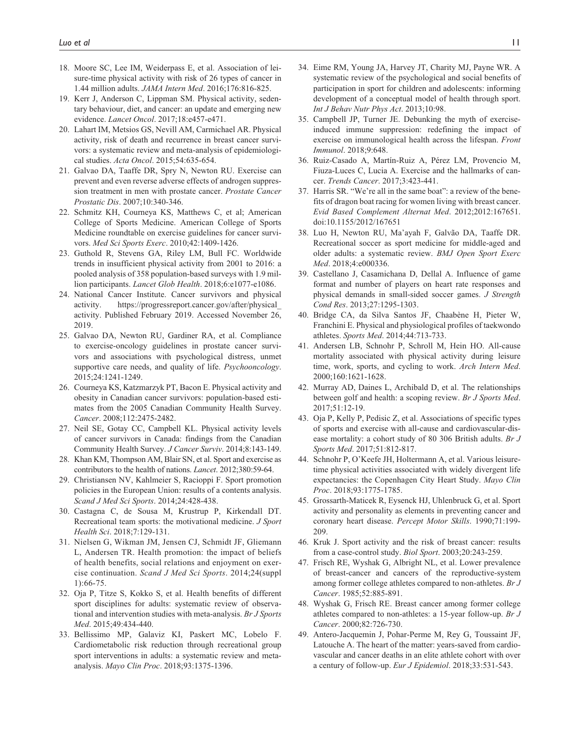- 18. Moore SC, Lee IM, Weiderpass E, et al. Association of leisure-time physical activity with risk of 26 types of cancer in 1.44 million adults. *JAMA Intern Med*. 2016;176:816-825.
- 19. Kerr J, Anderson C, Lippman SM. Physical activity, sedentary behaviour, diet, and cancer: an update and emerging new evidence. *Lancet Oncol*. 2017;18:e457-e471.
- 20. Lahart IM, Metsios GS, Nevill AM, Carmichael AR. Physical activity, risk of death and recurrence in breast cancer survivors: a systematic review and meta-analysis of epidemiological studies. *Acta Oncol*. 2015;54:635-654.
- 21. Galvao DA, Taaffe DR, Spry N, Newton RU. Exercise can prevent and even reverse adverse effects of androgen suppression treatment in men with prostate cancer. *Prostate Cancer Prostatic Dis*. 2007;10:340-346.
- 22. Schmitz KH, Courneya KS, Matthews C, et al; American College of Sports Medicine. American College of Sports Medicine roundtable on exercise guidelines for cancer survivors. *Med Sci Sports Exerc*. 2010;42:1409-1426.
- 23. Guthold R, Stevens GA, Riley LM, Bull FC. Worldwide trends in insufficient physical activity from 2001 to 2016: a pooled analysis of 358 population-based surveys with 1.9 million participants. *Lancet Glob Health*. 2018;6:e1077-e1086.
- 24. National Cancer Institute. Cancer survivors and physical activity. [https://progressreport.cancer.gov/after/physical\\_](https://progressreport.cancer.gov/after/physical_activity) [activity](https://progressreport.cancer.gov/after/physical_activity). Published February 2019. Accessed November 26, 2019.
- 25. Galvao DA, Newton RU, Gardiner RA, et al. Compliance to exercise-oncology guidelines in prostate cancer survivors and associations with psychological distress, unmet supportive care needs, and quality of life. *Psychooncology*. 2015;24:1241-1249.
- 26. Courneya KS, Katzmarzyk PT, Bacon E. Physical activity and obesity in Canadian cancer survivors: population-based estimates from the 2005 Canadian Community Health Survey. *Cancer*. 2008;112:2475-2482.
- 27. Neil SE, Gotay CC, Campbell KL. Physical activity levels of cancer survivors in Canada: findings from the Canadian Community Health Survey. *J Cancer Surviv*. 2014;8:143-149.
- 28. Khan KM, Thompson AM, Blair SN, et al. Sport and exercise as contributors to the health of nations. *Lancet*. 2012;380:59-64.
- 29. Christiansen NV, Kahlmeier S, Racioppi F. Sport promotion policies in the European Union: results of a contents analysis. *Scand J Med Sci Sports*. 2014;24:428-438.
- 30. Castagna C, de Sousa M, Krustrup P, Kirkendall DT. Recreational team sports: the motivational medicine. *J Sport Health Sci*. 2018;7:129-131.
- 31. Nielsen G, Wikman JM, Jensen CJ, Schmidt JF, Gliemann L, Andersen TR. Health promotion: the impact of beliefs of health benefits, social relations and enjoyment on exercise continuation. *Scand J Med Sci Sports*. 2014;24(suppl 1):66-75.
- 32. Oja P, Titze S, Kokko S, et al. Health benefits of different sport disciplines for adults: systematic review of observational and intervention studies with meta-analysis. *Br J Sports Med*. 2015;49:434-440.
- 33. Bellissimo MP, Galaviz KI, Paskert MC, Lobelo F. Cardiometabolic risk reduction through recreational group sport interventions in adults: a systematic review and metaanalysis. *Mayo Clin Proc*. 2018;93:1375-1396.
- 34. Eime RM, Young JA, Harvey JT, Charity MJ, Payne WR. A systematic review of the psychological and social benefits of participation in sport for children and adolescents: informing development of a conceptual model of health through sport. *Int J Behav Nutr Phys Act*. 2013;10:98.
- 35. Campbell JP, Turner JE. Debunking the myth of exerciseinduced immune suppression: redefining the impact of exercise on immunological health across the lifespan. *Front Immunol*. 2018;9:648.
- 36. Ruiz-Casado A, Martín-Ruiz A, Pérez LM, Provencio M, Fiuza-Luces C, Lucia A. Exercise and the hallmarks of cancer. *Trends Cancer*. 2017;3:423-441.
- 37. Harris SR. "We're all in the same boat": a review of the benefits of dragon boat racing for women living with breast cancer. *Evid Based Complement Alternat Med*. 2012;2012:167651. doi:10.1155/2012/167651
- 38. Luo H, Newton RU, Ma'ayah F, Galvão DA, Taaffe DR. Recreational soccer as sport medicine for middle-aged and older adults: a systematic review. *BMJ Open Sport Exerc Med*. 2018;4:e000336.
- 39. Castellano J, Casamichana D, Dellal A. Influence of game format and number of players on heart rate responses and physical demands in small-sided soccer games. *J Strength Cond Res*. 2013;27:1295-1303.
- 40. Bridge CA, da Silva Santos JF, Chaabène H, Pieter W, Franchini E. Physical and physiological profiles of taekwondo athletes. *Sports Med*. 2014;44:713-733.
- 41. Andersen LB, Schnohr P, Schroll M, Hein HO. All-cause mortality associated with physical activity during leisure time, work, sports, and cycling to work. *Arch Intern Med*. 2000;160:1621-1628.
- 42. Murray AD, Daines L, Archibald D, et al. The relationships between golf and health: a scoping review. *Br J Sports Med*. 2017;51:12-19.
- 43. Oja P, Kelly P, Pedisic Z, et al. Associations of specific types of sports and exercise with all-cause and cardiovascular-disease mortality: a cohort study of 80 306 British adults. *Br J Sports Med*. 2017;51:812-817.
- 44. Schnohr P, O'Keefe JH, Holtermann A, et al. Various leisuretime physical activities associated with widely divergent life expectancies: the Copenhagen City Heart Study. *Mayo Clin Proc*. 2018;93:1775-1785.
- 45. Grossarth-Maticek R, Eysenck HJ, Uhlenbruck G, et al. Sport activity and personality as elements in preventing cancer and coronary heart disease. *Percept Motor Skills*. 1990;71:199- 209.
- 46. Kruk J. Sport activity and the risk of breast cancer: results from a case-control study. *Biol Sport*. 2003;20:243-259.
- 47. Frisch RE, Wyshak G, Albright NL, et al. Lower prevalence of breast-cancer and cancers of the reproductive-system among former college athletes compared to non-athletes. *Br J Cancer*. 1985;52:885-891.
- 48. Wyshak G, Frisch RE. Breast cancer among former college athletes compared to non-athletes: a 15-year follow-up. *Br J Cancer*. 2000;82:726-730.
- 49. Antero-Jacquemin J, Pohar-Perme M, Rey G, Toussaint JF, Latouche A. The heart of the matter: years-saved from cardiovascular and cancer deaths in an elite athlete cohort with over a century of follow-up. *Eur J Epidemiol*. 2018;33:531-543.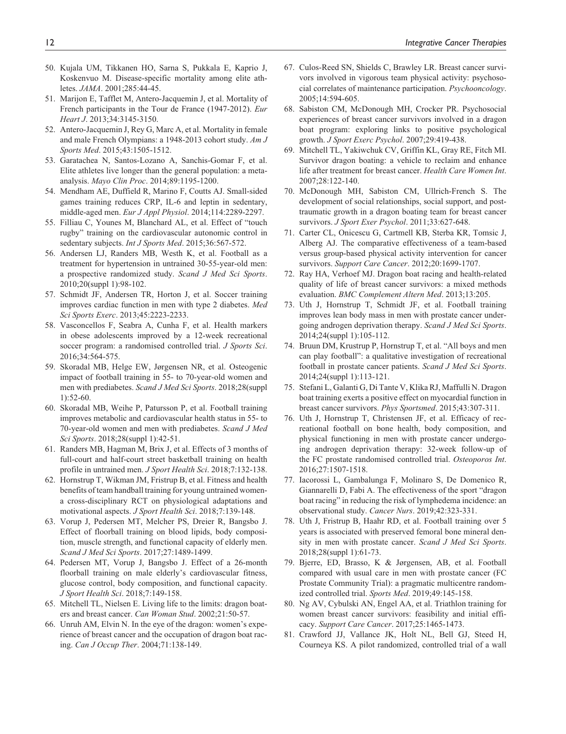- 50. Kujala UM, Tikkanen HO, Sarna S, Pukkala E, Kaprio J, Koskenvuo M. Disease-specific mortality among elite athletes. *JAMA*. 2001;285:44-45.
- 51. Marijon E, Tafflet M, Antero-Jacquemin J, et al. Mortality of French participants in the Tour de France (1947-2012). *Eur Heart J*. 2013;34:3145-3150.
- 52. Antero-Jacquemin J, Rey G, Marc A, et al. Mortality in female and male French Olympians: a 1948-2013 cohort study. *Am J Sports Med*. 2015;43:1505-1512.
- 53. Garatachea N, Santos-Lozano A, Sanchis-Gomar F, et al. Elite athletes live longer than the general population: a metaanalysis. *Mayo Clin Proc*. 2014;89:1195-1200.
- 54. Mendham AE, Duffield R, Marino F, Coutts AJ. Small-sided games training reduces CRP, IL-6 and leptin in sedentary, middle-aged men. *Eur J Appl Physiol*. 2014;114:2289-2297.
- 55. Filliau C, Younes M, Blanchard AL, et al. Effect of "touch rugby" training on the cardiovascular autonomic control in sedentary subjects. *Int J Sports Med*. 2015;36:567-572.
- 56. Andersen LJ, Randers MB, Westh K, et al. Football as a treatment for hypertension in untrained 30-55-year-old men: a prospective randomized study. *Scand J Med Sci Sports*. 2010;20(suppl 1):98-102.
- 57. Schmidt JF, Andersen TR, Horton J, et al. Soccer training improves cardiac function in men with type 2 diabetes. *Med Sci Sports Exerc*. 2013;45:2223-2233.
- 58. Vasconcellos F, Seabra A, Cunha F, et al. Health markers in obese adolescents improved by a 12-week recreational soccer program: a randomised controlled trial. *J Sports Sci*. 2016;34:564-575.
- 59. Skoradal MB, Helge EW, Jørgensen NR, et al. Osteogenic impact of football training in 55- to 70-year-old women and men with prediabetes. *Scand J Med Sci Sports*. 2018;28(suppl 1):52-60.
- 60. Skoradal MB, Weihe P, Patursson P, et al. Football training improves metabolic and cardiovascular health status in 55- to 70-year-old women and men with prediabetes. *Scand J Med Sci Sports*. 2018;28(suppl 1):42-51.
- 61. Randers MB, Hagman M, Brix J, et al. Effects of 3 months of full-court and half-court street basketball training on health profile in untrained men. *J Sport Health Sci*. 2018;7:132-138.
- 62. Hornstrup T, Wikman JM, Fristrup B, et al. Fitness and health benefits of team handball training for young untrained womena cross-disciplinary RCT on physiological adaptations and motivational aspects. *J Sport Health Sci*. 2018;7:139-148.
- 63. Vorup J, Pedersen MT, Melcher PS, Dreier R, Bangsbo J. Effect of floorball training on blood lipids, body composition, muscle strength, and functional capacity of elderly men. *Scand J Med Sci Sports*. 2017;27:1489-1499.
- 64. Pedersen MT, Vorup J, Bangsbo J. Effect of a 26-month floorball training on male elderly's cardiovascular fitness, glucose control, body composition, and functional capacity. *J Sport Health Sci*. 2018;7:149-158.
- 65. Mitchell TL, Nielsen E. Living life to the limits: dragon boaters and breast cancer. *Can Woman Stud*. 2002;21:50-57.
- 66. Unruh AM, Elvin N. In the eye of the dragon: women's experience of breast cancer and the occupation of dragon boat racing. *Can J Occup Ther*. 2004;71:138-149.
- 67. Culos-Reed SN, Shields C, Brawley LR. Breast cancer survivors involved in vigorous team physical activity: psychosocial correlates of maintenance participation. *Psychooncology*. 2005;14:594-605.
- 68. Sabiston CM, McDonough MH, Crocker PR. Psychosocial experiences of breast cancer survivors involved in a dragon boat program: exploring links to positive psychological growth. *J Sport Exerc Psychol*. 2007;29:419-438.
- 69. Mitchell TL, Yakiwchuk CV, Griffin KL, Gray RE, Fitch MI. Survivor dragon boating: a vehicle to reclaim and enhance life after treatment for breast cancer. *Health Care Women Int*. 2007;28:122-140.
- 70. McDonough MH, Sabiston CM, Ullrich-French S. The development of social relationships, social support, and posttraumatic growth in a dragon boating team for breast cancer survivors. *J Sport Exer Psychol*. 2011;33:627-648.
- 71. Carter CL, Onicescu G, Cartmell KB, Sterba KR, Tomsic J, Alberg AJ. The comparative effectiveness of a team-based versus group-based physical activity intervention for cancer survivors. *Support Care Cancer*. 2012;20:1699-1707.
- 72. Ray HA, Verhoef MJ. Dragon boat racing and health-related quality of life of breast cancer survivors: a mixed methods evaluation. *BMC Complement Altern Med*. 2013;13:205.
- 73. Uth J, Hornstrup T, Schmidt JF, et al. Football training improves lean body mass in men with prostate cancer undergoing androgen deprivation therapy. *Scand J Med Sci Sports*. 2014;24(suppl 1):105-112.
- 74. Bruun DM, Krustrup P, Hornstrup T, et al. "All boys and men can play football": a qualitative investigation of recreational football in prostate cancer patients. *Scand J Med Sci Sports*. 2014;24(suppl 1):113-121.
- 75. Stefani L, Galanti G, Di Tante V, Klika RJ, Maffulli N. Dragon boat training exerts a positive effect on myocardial function in breast cancer survivors. *Phys Sportsmed*. 2015;43:307-311.
- 76. Uth J, Hornstrup T, Christensen JF, et al. Efficacy of recreational football on bone health, body composition, and physical functioning in men with prostate cancer undergoing androgen deprivation therapy: 32-week follow-up of the FC prostate randomised controlled trial. *Osteoporos Int*. 2016;27:1507-1518.
- 77. Iacorossi L, Gambalunga F, Molinaro S, De Domenico R, Giannarelli D, Fabi A. The effectiveness of the sport "dragon boat racing" in reducing the risk of lymphedema incidence: an observational study. *Cancer Nurs*. 2019;42:323-331.
- 78. Uth J, Fristrup B, Haahr RD, et al. Football training over 5 years is associated with preserved femoral bone mineral density in men with prostate cancer. *Scand J Med Sci Sports*. 2018;28(suppl 1):61-73.
- 79. Bjerre, ED, Brasso, K & Jørgensen, AB, et al. Football compared with usual care in men with prostate cancer (FC Prostate Community Trial): a pragmatic multicentre randomized controlled trial. *Sports Med*. 2019;49:145-158.
- 80. Ng AV, Cybulski AN, Engel AA, et al. Triathlon training for women breast cancer survivors: feasibility and initial efficacy. *Support Care Cancer*. 2017;25:1465-1473.
- 81. Crawford JJ, Vallance JK, Holt NL, Bell GJ, Steed H, Courneya KS. A pilot randomized, controlled trial of a wall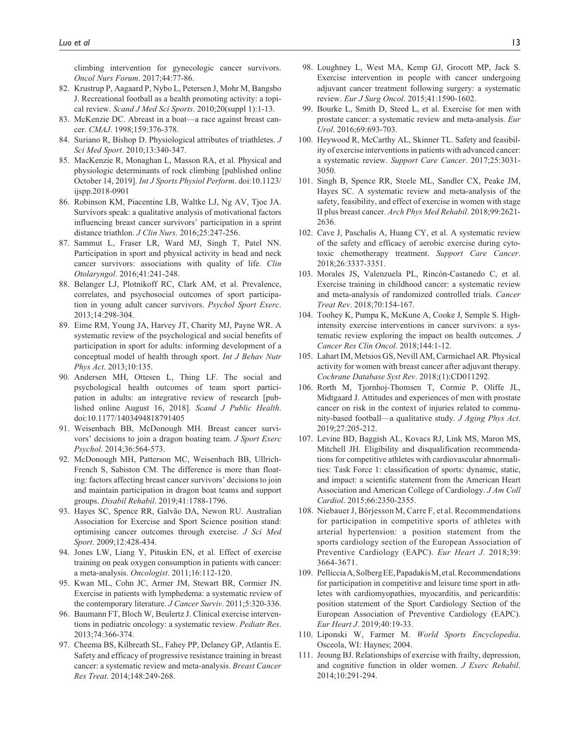climbing intervention for gynecologic cancer survivors. *Oncol Nurs Forum*. 2017;44:77-86.

- 82. Krustrup P, Aagaard P, Nybo L, Petersen J, Mohr M, Bangsbo J. Recreational football as a health promoting activity: a topical review. *Scand J Med Sci Sports*. 2010;20(suppl 1):1-13.
- 83. McKenzie DC. Abreast in a boat—a race against breast cancer. *CMAJ*. 1998;159:376-378.
- 84. Suriano R, Bishop D. Physiological attributes of triathletes. *J Sci Med Sport*. 2010;13:340-347.
- 85. MacKenzie R, Monaghan L, Masson RA, et al. Physical and physiologic determinants of rock climbing [published online October 14, 2019]. *Int J Sports Physiol Perform*. doi:10.1123/ ijspp.2018-0901
- 86. Robinson KM, Piacentine LB, Waltke LJ, Ng AV, Tjoe JA. Survivors speak: a qualitative analysis of motivational factors influencing breast cancer survivors' participation in a sprint distance triathlon. *J Clin Nurs*. 2016;25:247-256.
- 87. Sammut L, Fraser LR, Ward MJ, Singh T, Patel NN. Participation in sport and physical activity in head and neck cancer survivors: associations with quality of life. *Clin Otolaryngol*. 2016;41:241-248.
- 88. Belanger LJ, Plotnikoff RC, Clark AM, et al. Prevalence, correlates, and psychosocial outcomes of sport participation in young adult cancer survivors. *Psychol Sport Exerc*. 2013;14:298-304.
- 89. Eime RM, Young JA, Harvey JT, Charity MJ, Payne WR. A systematic review of the psychological and social benefits of participation in sport for adults: informing development of a conceptual model of health through sport. *Int J Behav Nutr Phys Act*. 2013;10:135.
- 90. Andersen MH, Ottesen L, Thing LF. The social and psychological health outcomes of team sport participation in adults: an integrative review of research [published online August 16, 2018]. *Scand J Public Health*. doi:10.1177/1403494818791405
- 91. Weisenbach BB, McDonough MH. Breast cancer survivors' decisions to join a dragon boating team. *J Sport Exerc Psychol*. 2014;36:564-573.
- 92. McDonough MH, Patterson MC, Weisenbach BB, Ullrich-French S, Sabiston CM. The difference is more than floating: factors affecting breast cancer survivors' decisions to join and maintain participation in dragon boat teams and support groups. *Disabil Rehabil*. 2019;41:1788-1796.
- 93. Hayes SC, Spence RR, Galvão DA, Newon RU. Australian Association for Exercise and Sport Science position stand: optimising cancer outcomes through exercise. *J Sci Med Sport*. 2009;12:428-434.
- 94. Jones LW, Liang Y, Pituskin EN, et al. Effect of exercise training on peak oxygen consumption in patients with cancer: a meta-analysis. *Oncologist*. 2011;16:112-120.
- 95. Kwan ML, Cohn JC, Armer JM, Stewart BR, Cormier JN. Exercise in patients with lymphedema: a systematic review of the contemporary literature. *J Cancer Surviv*. 2011;5:320-336.
- 96. Baumann FT, Bloch W, Beulertz J. Clinical exercise interventions in pediatric oncology: a systematic review. *Pediatr Res*. 2013;74:366-374.
- 97. Cheema BS, Kilbreath SL, Fahey PP, Delaney GP, Atlantis E. Safety and efficacy of progressive resistance training in breast cancer: a systematic review and meta-analysis. *Breast Cancer Res Treat*. 2014;148:249-268.
- 98. Loughney L, West MA, Kemp GJ, Grocott MP, Jack S. Exercise intervention in people with cancer undergoing adjuvant cancer treatment following surgery: a systematic review. *Eur J Surg Oncol*. 2015;41:1590-1602.
- 99. Bourke L, Smith D, Steed L, et al. Exercise for men with prostate cancer: a systematic review and meta-analysis. *Eur Urol*. 2016;69:693-703.
- 100. Heywood R, McCarthy AL, Skinner TL. Safety and feasibility of exercise interventions in patients with advanced cancer: a systematic review. *Support Care Cancer*. 2017;25:3031- 3050.
- 101. Singh B, Spence RR, Steele ML, Sandler CX, Peake JM, Hayes SC. A systematic review and meta-analysis of the safety, feasibility, and effect of exercise in women with stage II plus breast cancer. *Arch Phys Med Rehabil*. 2018;99:2621- 2636.
- 102. Cave J, Paschalis A, Huang CY, et al. A systematic review of the safety and efficacy of aerobic exercise during cytotoxic chemotherapy treatment. *Support Care Cancer*. 2018;26:3337-3351.
- 103. Morales JS, Valenzuela PL, Rincón-Castanedo C, et al. Exercise training in childhood cancer: a systematic review and meta-analysis of randomized controlled trials. *Cancer Treat Rev*. 2018;70:154-167.
- 104. Toohey K, Pumpa K, McKune A, Cooke J, Semple S. Highintensity exercise interventions in cancer survivors: a systematic review exploring the impact on health outcomes. *J Cancer Res Clin Oncol*. 2018;144:1-12.
- 105. Lahart IM, Metsios GS, Nevill AM, Carmichael AR. Physical activity for women with breast cancer after adjuvant therapy. *Cochrane Database Syst Rev*. 2018;(1):CD011292.
- 106. Rorth M, Tjornhoj-Thomsen T, Cormie P, Oliffe JL, Midtgaard J. Attitudes and experiences of men with prostate cancer on risk in the context of injuries related to community-based football—a qualitative study. *J Aging Phys Act*. 2019;27:205-212.
- 107. Levine BD, Baggish AL, Kovacs RJ, Link MS, Maron MS, Mitchell JH. Eligibility and disqualification recommendations for competitive athletes with cardiovascular abnormalities: Task Force 1: classification of sports: dynamic, static, and impact: a scientific statement from the American Heart Association and American College of Cardiology. *J Am Coll Cardiol*. 2015;66:2350-2355.
- 108. Niebauer J, Börjesson M, Carre F, et al. Recommendations for participation in competitive sports of athletes with arterial hypertension: a position statement from the sports cardiology section of the European Association of Preventive Cardiology (EAPC). *Eur Heart J*. 2018;39: 3664-3671.
- 109. Pelliccia A, Solberg EE, Papadakis M, etal. Recommendations for participation in competitive and leisure time sport in athletes with cardiomyopathies, myocarditis, and pericarditis: position statement of the Sport Cardiology Section of the European Association of Preventive Cardiology (EAPC). *Eur Heart J*. 2019;40:19-33.
- 110. Liponski W, Farmer M. *World Sports Encyclopedia*. Osceola, WI: Haynes; 2004.
- 111. Jeoung BJ. Relationships of exercise with frailty, depression, and cognitive function in older women. *J Exerc Rehabil*. 2014;10:291-294.